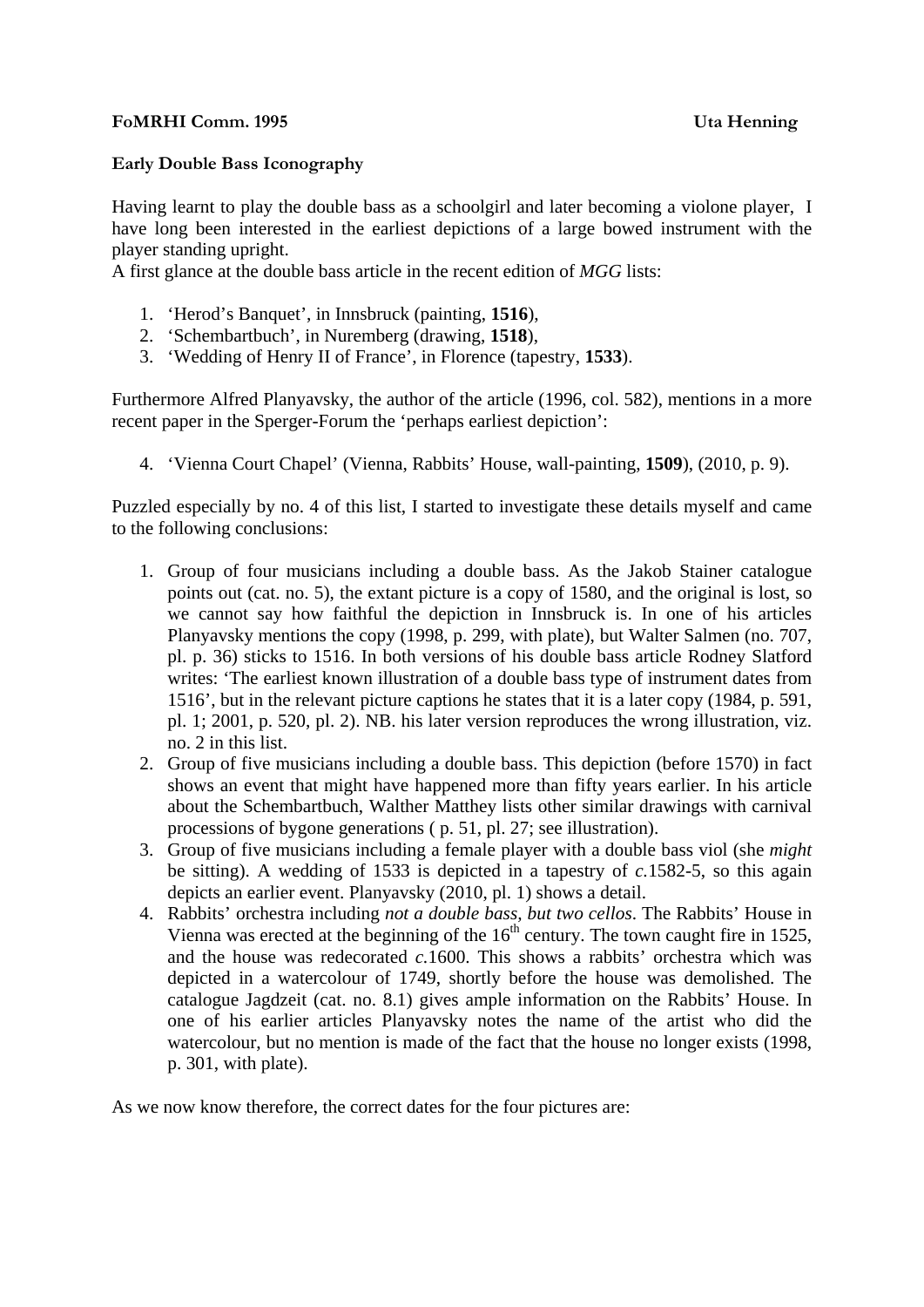## **FoMRHI Comm. 1995 Uta Henning**

## **Early Double Bass Iconography**

Having learnt to play the double bass as a schoolgirl and later becoming a violone player, I have long been interested in the earliest depictions of a large bowed instrument with the player standing upright.

A first glance at the double bass article in the recent edition of *MGG* lists:

- 1. 'Herod's Banquet', in Innsbruck (painting, **1516**),
- 2. 'Schembartbuch', in Nuremberg (drawing, **1518**),
- 3. 'Wedding of Henry II of France', in Florence (tapestry, **1533**).

Furthermore Alfred Planyavsky, the author of the article (1996, col. 582), mentions in a more recent paper in the Sperger-Forum the 'perhaps earliest depiction':

4. 'Vienna Court Chapel' (Vienna, Rabbits' House, wall-painting, **1509**), (2010, p. 9).

Puzzled especially by no. 4 of this list, I started to investigate these details myself and came to the following conclusions:

- 1. Group of four musicians including a double bass. As the Jakob Stainer catalogue points out (cat. no. 5), the extant picture is a copy of 1580, and the original is lost, so we cannot say how faithful the depiction in Innsbruck is. In one of his articles Planyavsky mentions the copy (1998, p. 299, with plate), but Walter Salmen (no. 707, pl. p. 36) sticks to 1516. In both versions of his double bass article Rodney Slatford writes: 'The earliest known illustration of a double bass type of instrument dates from 1516', but in the relevant picture captions he states that it is a later copy (1984, p. 591, pl. 1; 2001, p. 520, pl. 2). NB. his later version reproduces the wrong illustration, viz. no. 2 in this list.
- 2. Group of five musicians including a double bass. This depiction (before 1570) in fact shows an event that might have happened more than fifty years earlier. In his article about the Schembartbuch, Walther Matthey lists other similar drawings with carnival processions of bygone generations ( p. 51, pl. 27; see illustration).
- 3. Group of five musicians including a female player with a double bass viol (she *might* be sitting). A wedding of 1533 is depicted in a tapestry of *c.*1582-5, so this again depicts an earlier event. Planyavsky (2010, pl. 1) shows a detail.
- 4. Rabbits' orchestra including *not a double bass, but two cellos*. The Rabbits' House in Vienna was erected at the beginning of the  $16<sup>th</sup>$  century. The town caught fire in 1525, and the house was redecorated *c.*1600. This shows a rabbits' orchestra which was depicted in a watercolour of 1749, shortly before the house was demolished. The catalogue Jagdzeit (cat. no. 8.1) gives ample information on the Rabbits' House. In one of his earlier articles Planyavsky notes the name of the artist who did the watercolour, but no mention is made of the fact that the house no longer exists (1998, p. 301, with plate).

As we now know therefore, the correct dates for the four pictures are: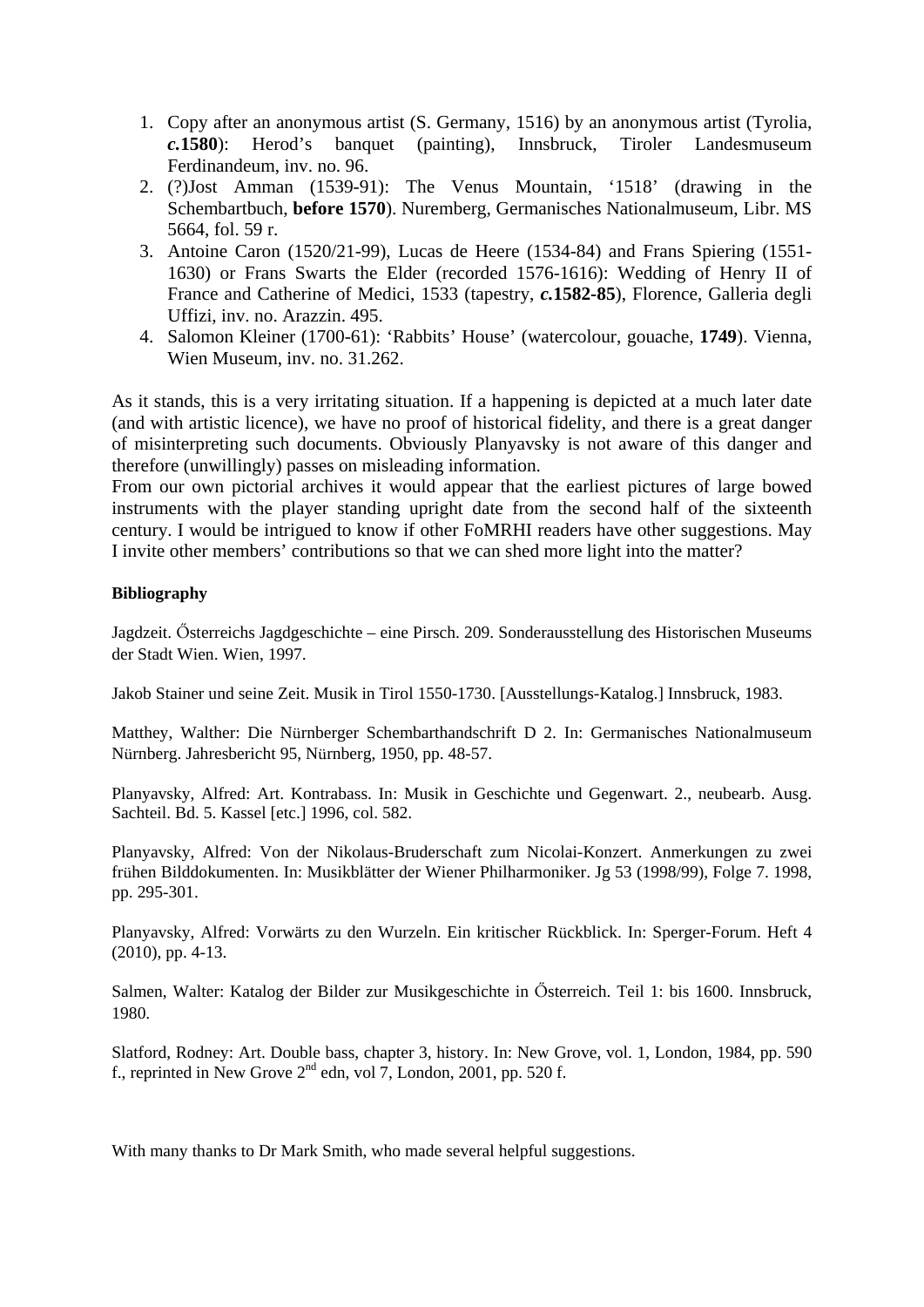- 1. Copy after an anonymous artist (S. Germany, 1516) by an anonymous artist (Tyrolia, *c.***1580**): Herod's banquet (painting), Innsbruck, Tiroler Landesmuseum Ferdinandeum, inv. no. 96.
- 2. (?)Jost Amman (1539-91): The Venus Mountain, '1518' (drawing in the Schembartbuch, **before 1570**). Nuremberg, Germanisches Nationalmuseum, Libr. MS 5664, fol. 59 r.
- 3. Antoine Caron (1520/21-99), Lucas de Heere (1534-84) and Frans Spiering (1551- 1630) or Frans Swarts the Elder (recorded 1576-1616): Wedding of Henry II of France and Catherine of Medici, 1533 (tapestry, *c.***1582-85**), Florence, Galleria degli Uffizi, inv. no. Arazzin. 495.
- 4. Salomon Kleiner (1700-61): 'Rabbits' House' (watercolour, gouache, **1749**). Vienna, Wien Museum, inv. no. 31.262.

As it stands, this is a very irritating situation. If a happening is depicted at a much later date (and with artistic licence), we have no proof of historical fidelity, and there is a great danger of misinterpreting such documents. Obviously Planyavsky is not aware of this danger and therefore (unwillingly) passes on misleading information.

From our own pictorial archives it would appear that the earliest pictures of large bowed instruments with the player standing upright date from the second half of the sixteenth century. I would be intrigued to know if other FoMRHI readers have other suggestions. May I invite other members' contributions so that we can shed more light into the matter?

## **Bibliography**

Jagdzeit. Ősterreichs Jagdgeschichte – eine Pirsch. 209. Sonderausstellung des Historischen Museums der Stadt Wien. Wien, 1997.

Jakob Stainer und seine Zeit. Musik in Tirol 1550-1730. [Ausstellungs-Katalog.] Innsbruck, 1983.

Matthey, Walther: Die Nürnberger Schembarthandschrift D 2. In: Germanisches Nationalmuseum Nürnberg. Jahresbericht 95, Nürnberg, 1950, pp. 48-57.

Planyavsky, Alfred: Art. Kontrabass. In: Musik in Geschichte und Gegenwart. 2., neubearb. Ausg. Sachteil. Bd. 5. Kassel [etc.] 1996, col. 582.

Planyavsky, Alfred: Von der Nikolaus-Bruderschaft zum Nicolai-Konzert. Anmerkungen zu zwei frühen Bilddokumenten. In: Musikblätter der Wiener Philharmoniker. Jg 53 (1998/99), Folge 7. 1998, pp. 295-301.

Planyavsky, Alfred: Vorwärts zu den Wurzeln. Ein kritischer Rückblick. In: Sperger-Forum. Heft 4 (2010), pp. 4-13.

Salmen, Walter: Katalog der Bilder zur Musikgeschichte in Ősterreich. Teil 1: bis 1600. Innsbruck, 1980.

Slatford, Rodney: Art. Double bass, chapter 3, history. In: New Grove, vol. 1, London, 1984, pp. 590 f., reprinted in New Grove  $2^{nd}$  edn, vol 7, London, 2001, pp. 520 f.

With many thanks to Dr Mark Smith, who made several helpful suggestions.